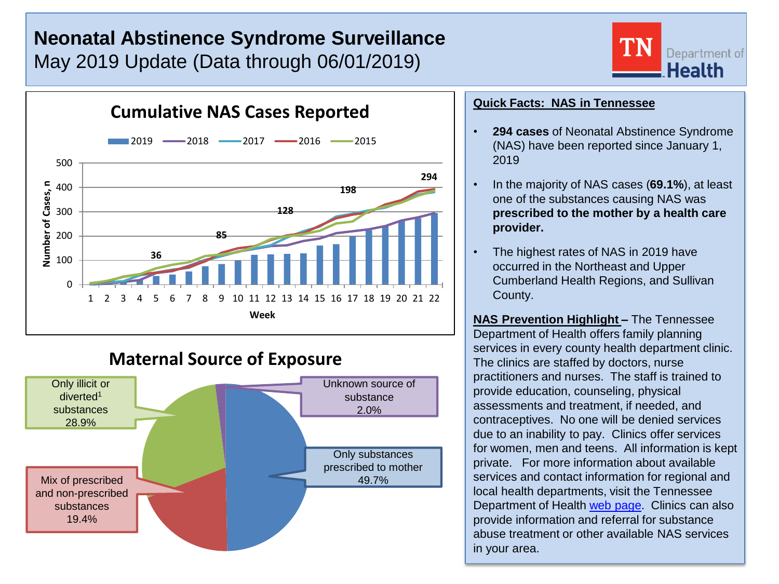# **Neonatal Abstinence Syndrome Surveillance** May 2019 Update (Data through 06/01/2019)



## **Maternal Source of Exposure**



### **Quick Facts: NAS in Tennessee**

• **294 cases** of Neonatal Abstinence Syndrome (NAS) have been reported since January 1, 2019

Department of **Health** 

- In the majority of NAS cases (**69.1%**), at least one of the substances causing NAS was **prescribed to the mother by a health care provider.**
- The highest rates of NAS in 2019 have occurred in the Northeast and Upper Cumberland Health Regions, and Sullivan County.

**NAS Prevention Highlight –** The Tennessee Department of Health offers family planning services in every county health department clinic. The clinics are staffed by doctors, nurse practitioners and nurses. The staff is trained to provide education, counseling, physical assessments and treatment, if needed, and contraceptives. No one will be denied services due to an inability to pay. Clinics offer services for women, men and teens. All information is kept private. For more information about available services and contact information for regional and local health departments, visit the Tennessee Department of Health [web page.](https://www.tn.gov/health/health-program-areas/localdepartments.html) Clinics can also provide information and referral for substance abuse treatment or other available NAS services in your area.